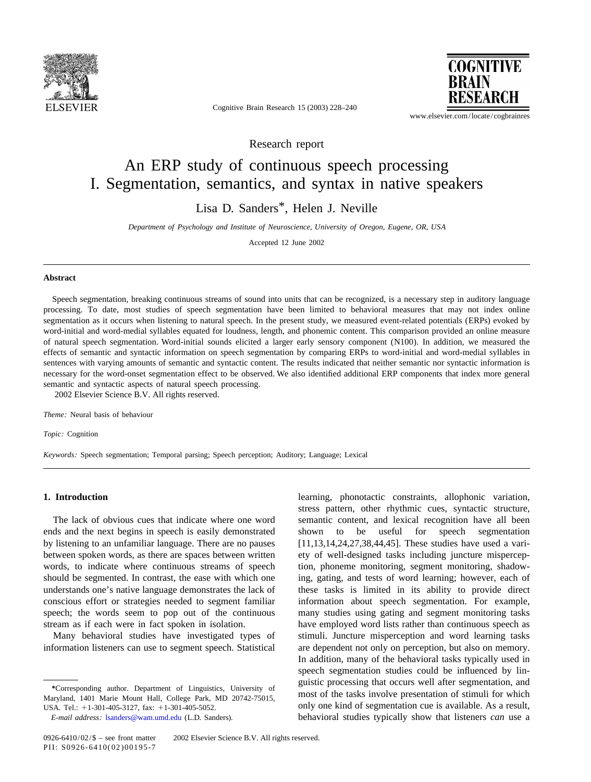

Cognitive Brain Research 15 (2003) 228–240

www.elsevier.com/locate/cogbrainres

**BRAIN RESEARCH** 

**COGNITIVE** 

Research report

# An ERP study of continuous speech processing I. Segmentation, semantics, and syntax in native speakers

Lisa D. Sanders<sup>\*</sup>, Helen J. Neville

*Department of Psychology and Institute of Neuroscience*, *University of Oregon*, *Eugene*, *OR*, *USA*

Accepted 12 June 2002

### **Abstract**

Speech segmentation, breaking continuous streams of sound into units that can be recognized, is a necessary step in auditory language processing. To date, most studies of speech segmentation have been limited to behavioral measures that may not index online segmentation as it occurs when listening to natural speech. In the present study, we measured event-related potentials (ERPs) evoked by word-initial and word-medial syllables equated for loudness, length, and phonemic content. This comparison provided an online measure of natural speech segmentation. Word-initial sounds elicited a larger early sensory component (N100). In addition, we measured the effects of semantic and syntactic information on speech segmentation by comparing ERPs to word-initial and word-medial syllables in sentences with varying amounts of semantic and syntactic content. The results indicated that neither semantic nor syntactic information is necessary for the word-onset segmentation effect to be observed. We also identified additional ERP components that index more general semantic and syntactic aspects of natural speech processing.

2002 Elsevier Science B.V. All rights reserved.

*Theme*: Neural basis of behaviour

*Topic*: Cognition

*Keywords*: Speech segmentation; Temporal parsing; Speech perception; Auditory; Language; Lexical

ends and the next begins in speech is easily demonstrated shown to be useful for speech segmentation by listening to an unfamiliar language. There are no pauses [11,13,14,24,27,38,44,45]. These studies have used a varibetween spoken words, as there are spaces between written ety of well-designed tasks including juncture mispercepwords, to indicate where continuous streams of speech tion, phoneme monitoring, segment monitoring, shadowshould be segmented. In contrast, the ease with which one ing, gating, and tests of word learning; however, each of understands one's native language demonstrates the lack of these tasks is limited in its ability to provide direct conscious effort or strategies needed to segment familiar information about speech segmentation. For example, speech; the words seem to pop out of the continuous many studies using gating and segment monitoring tasks stream as if each were in fact spoken in isolation. have employed word lists rather than continuous speech as

**1. Introduction** learning, phonotactic constraints, allophonic variation, stress pattern, other rhythmic cues, syntactic structure, The lack of obvious cues that indicate where one word semantic content, and lexical recognition have all been Many behavioral studies have investigated types of stimuli. Juncture misperception and word learning tasks information listeners can use to segment speech. Statistical are dependent not only on perception, but also on memory. In addition, many of the behavioral tasks typically used in speech segmentation studies could be influenced by lin-\*Corresponding author. Department of Linguistics, University of guistic processing that occurs well after segmentation, and Maryland, 1401 Marie Mount Hall, College Park, MD 20742-75015, USA. Tel.: <sup>1</sup>1-301-405-3127, fax: <sup>1</sup>1-301-405-5052. only one kind of segmentation cue is available. As a result, *E*-*mail address*: [lsanders@wam.umd.edu](mailto:lsanders@wam.umd.edu) (L.D. Sanders). behavioral studies typically show that listeners *can* use a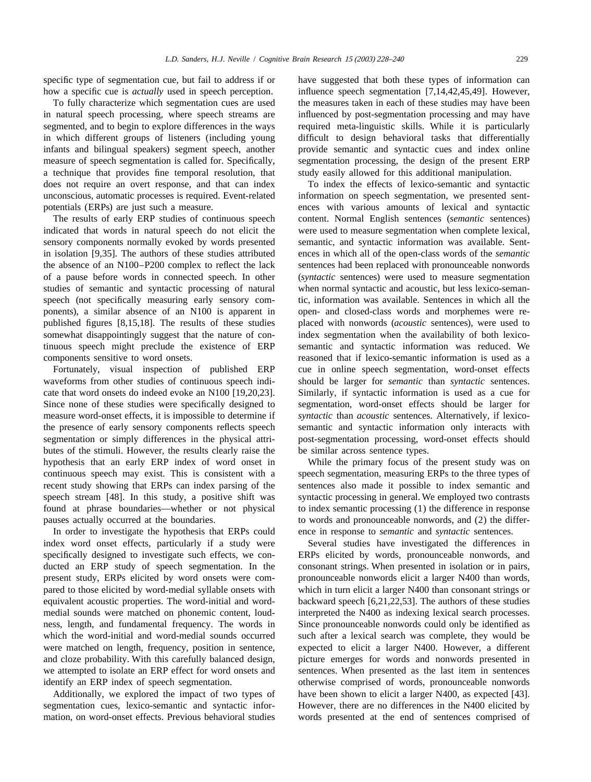how a specific cue is *actually* used in speech perception. influence speech segmentation [7,14,42,45,49]. However,

in natural speech processing, where speech streams are influenced by post-segmentation processing and may have segmented, and to begin to explore differences in the ways required meta-linguistic skills. While it is particularly in which different groups of listeners (including young difficult to design behavioral tasks that differentially infants and bilingual speakers) segment speech, another provide semantic and syntactic cues and index online measure of speech segmentation is called for. Specifically, segmentation processing, the design of the present ERP a technique that provides fine temporal resolution, that study easily allowed for this additional manipulation. does not require an overt response, and that can index To index the effects of lexico-semantic and syntactic unconscious, automatic processes is required. Event-related information on speech segmentation, we presented sent-

indicated that words in natural speech do not elicit the were used to measure segmentation when complete lexical, sensory components normally evoked by words presented semantic, and syntactic information was available. Sentin isolation [9,35]. The authors of these studies attributed ences in which all of the open-class words of the *semantic* the absence of an N100–P200 complex to reflect the lack sentences had been replaced with pronounceable nonwords of a pause before words in connected speech. In other (*syntactic* sentences) were used to measure segmentation studies of semantic and syntactic processing of natural when normal syntactic and acoustic, but less lexico-semanspeech (not specifically measuring early sensory com- tic, information was available. Sentences in which all the ponents), a similar absence of an N100 is apparent in open- and closed-class words and morphemes were republished figures [8,15,18]. The results of these studies placed with nonwords (*acoustic* sentences), were used to somewhat disappointingly suggest that the nature of con- index segmentation when the availability of both lexicotinuous speech might preclude the existence of ERP semantic and syntactic information was reduced. We components sensitive to word onsets. reasoned that if lexico-semantic information is used as a

waveforms from other studies of continuous speech indi-<br>should be larger for *semantic* than *syntactic* sentences. cate that word onsets do indeed evoke an N100 [19,20,23]. Similarly, if syntactic information is used as a cue for Since none of these studies were specifically designed to segmentation, word-onset effects should be larger for measure word-onset effects, it is impossible to determine if *syntactic* than *acoustic* sentences. Alternatively, if lexicothe presence of early sensory components reflects speech semantic and syntactic information only interacts with segmentation or simply differences in the physical attri- post-segmentation processing, word-onset effects should butes of the stimuli. However, the results clearly raise the be similar across sentence types. hypothesis that an early ERP index of word onset in While the primary focus of the present study was on continuous speech may exist. This is consistent with a speech segmentation, measuring ERPs to the three types of recent study showing that ERPs can index parsing of the sentences also made it possible to index semantic and speech stream [48]. In this study, a positive shift was syntactic processing in general. We employed two contrasts found at phrase boundaries—whether or not physical to index semantic processing (1) the difference in response pauses actually occurred at the boundaries. to words and pronounceable nonwords, and (2) the differ-

index word onset effects, particularly if a study were Several studies have investigated the differences in specifically designed to investigate such effects, we con-<br>
ERPs elicited by words, pronounceable nonwords, and ducted an ERP study of speech segmentation. In the consonant strings. When presented in isolation or in pairs, present study, ERPs elicited by word onsets were com- pronounceable nonwords elicit a larger N400 than words, pared to those elicited by word-medial syllable onsets with which in turn elicit a larger N400 than consonant strings or equivalent acoustic properties. The word-initial and word- backward speech [6,21,22,53]. The authors of these studies medial sounds were matched on phonemic content, loud- interpreted the N400 as indexing lexical search processes. ness, length, and fundamental frequency. The words in Since pronounceable nonwords could only be identified as which the word-initial and word-medial sounds occurred such after a lexical search was complete, they would be were matched on length, frequency, position in sentence, expected to elicit a larger N400. However, a different and cloze probability. With this carefully balanced design, picture emerges for words and nonwords presented in we attempted to isolate an ERP effect for word onsets and sentences. When presented as the last item in sentences identify an ERP index of speech segmentation.  $\qquad \qquad$  otherwise comprised of words, pronounceable nonwords

specific type of segmentation cue, but fail to address if or have suggested that both these types of information can To fully characterize which segmentation cues are used the measures taken in each of these studies may have been

potentials (ERPs) are just such a measure. ences with various amounts of lexical and syntactic The results of early ERP studies of continuous speech content. Normal English sentences (*semantic* sentences) Fortunately, visual inspection of published ERP cue in online speech segmentation, word-onset effects

In order to investigate the hypothesis that ERPs could ence in response to *semantic* and *syntactic* sentences.

Additionally, we explored the impact of two types of have been shown to elicit a larger N400, as expected [43]. segmentation cues, lexico-semantic and syntactic infor-<br>However, there are no differences in the N400 elicited by mation, on word-onset effects. Previous behavioral studies words presented at the end of sentences comprised of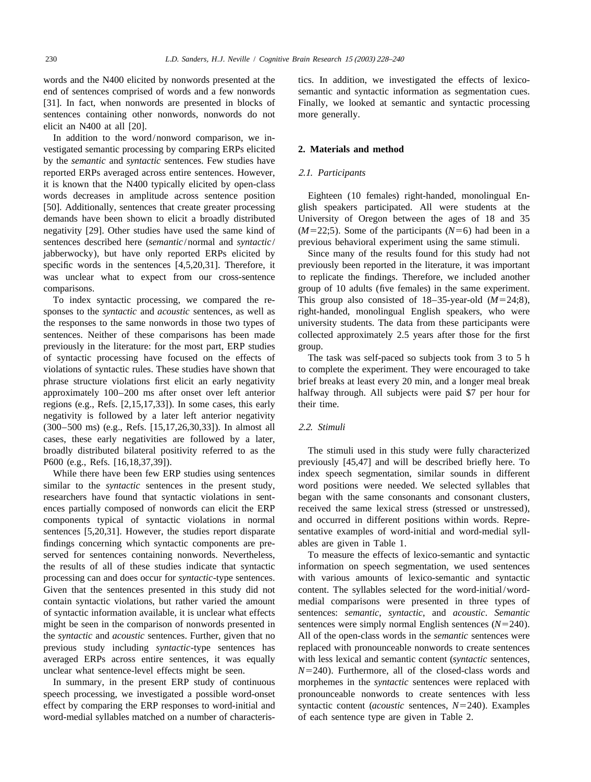words and the N400 elicited by nonwords presented at the tics. In addition, we investigated the effects of lexicoend of sentences comprised of words and a few nonwords semantic and syntactic information as segmentation cues. [31]. In fact, when nonwords are presented in blocks of Finally, we looked at semantic and syntactic processing sentences containing other nonwords, nonwords do not more generally. elicit an N400 at all [20].

In addition to the word/nonword comparison, we investigated semantic processing by comparing ERPs elicited **2. Materials and method** by the *semantic* and *syntactic* sentences. Few studies have reported ERPs averaged across entire sentences. However, 2 .1. *Participants* it is known that the N400 typically elicited by open-class words decreases in amplitude across sentence position Eighteen (10 females) right-handed, monolingual En-[50]. Additionally, sentences that create greater processing glish speakers participated. All were students at the demands have been shown to elicit a broadly distributed University of Oregon between the ages of 18 and 35 negativity [29]. Other studies have used the same kind of  $(M=22;5)$ . Some of the participants  $(N=6)$  had been in a sentences described here (*semantic* /normal and *syntactic* / previous behavioral experiment using the same stimuli. jabberwocky), but have only reported ERPs elicited by Since many of the results found for this study had not specific words in the sentences [4,5,20,31]. Therefore, it previously been reported in the literature, it was important was unclear what to expect from our cross-sentence to replicate the findings. Therefore, we included another comparisons. group of 10 adults (five females) in the same experiment.

sponses to the *syntactic* and *acoustic* sentences, as well as right-handed, monolingual English speakers, who were the responses to the same nonwords in those two types of university students. The data from these participants were sentences. Neither of these comparisons has been made collected approximately 2.5 years after those for the first previously in the literature: for the most part, ERP studies group. of syntactic processing have focused on the effects of The task was self-paced so subjects took from 3 to 5 h violations of syntactic rules. These studies have shown that to complete the experiment. They were encouraged to take phrase structure violations first elicit an early negativity brief breaks at least every 20 min, and a longer meal break approximately 100–200 ms after onset over left anterior halfway through. All subjects were paid \$7 per hour for regions (e.g., Refs. [2,15,17,33]). In some cases, this early their time. negativity is followed by a later left anterior negativity (300–500 ms) (e.g., Refs. [15,17,26,30,33]). In almost all 2 .2. *Stimuli* cases, these early negativities are followed by a later, broadly distributed bilateral positivity referred to as the The stimuli used in this study were fully characterized

similar to the *syntactic* sentences in the present study, word positions were needed. We selected syllables that researchers have found that syntactic violations in sent- began with the same consonants and consonant clusters, ences partially composed of nonwords can elicit the ERP received the same lexical stress (stressed or unstressed), components typical of syntactic violations in normal and occurred in different positions within words. Representences [5,20,31]. However, the studies report disparate sentative examples of word-initial and word-medial syllfindings concerning which syntactic components are pre- ables are given in Table 1. served for sentences containing nonwords. Nevertheless, To measure the effects of lexico-semantic and syntactic the results of all of these studies indicate that syntactic information on speech segmentation, we used sentences processing can and does occur for *syntactic*-type sentences. with various amounts of lexico-semantic and syntactic Given that the sentences presented in this study did not content. The syllables selected for the word-initial/wordcontain syntactic violations, but rather varied the amount medial comparisons were presented in three types of of syntactic information available, it is unclear what effects sentences: *semantic*, *syntactic*, and *acoustic*. *Semantic* might be seen in the comparison of nonwords presented in sentences were simply normal English sentences  $(N=240)$ . the *syntactic* and *acoustic* sentences. Further, given that no All of the open-class words in the *semantic* sentences were previous study including *syntactic*-type sentences has replaced with pronounceable nonwords to create sentences averaged ERPs across entire sentences, it was equally with less lexical and semantic content (*syntactic* sentences,

speech processing, we investigated a possible word-onset pronounceable nonwords to create sentences with less effect by comparing the ERP responses to word-initial and syntactic content (*acoustic* sentences,  $N=240$ ). Examples word-medial syllables matched on a number of characteris- of each sentence type are given in Table 2.

To index syntactic processing, we compared the re- This group also consisted of  $18-35$ -year-old  $(M=24;8)$ ,

P600 (e.g., Refs. [16,18,37,39]). previously [45,47] and will be described briefly here. To While there have been few ERP studies using sentences index speech segmentation, similar sounds in different

unclear what sentence-level effects might be seen.  $N=240$ ). Furthermore, all of the closed-class words and In summary, in the present ERP study of continuous morphemes in the *syntactic* sentences were replaced with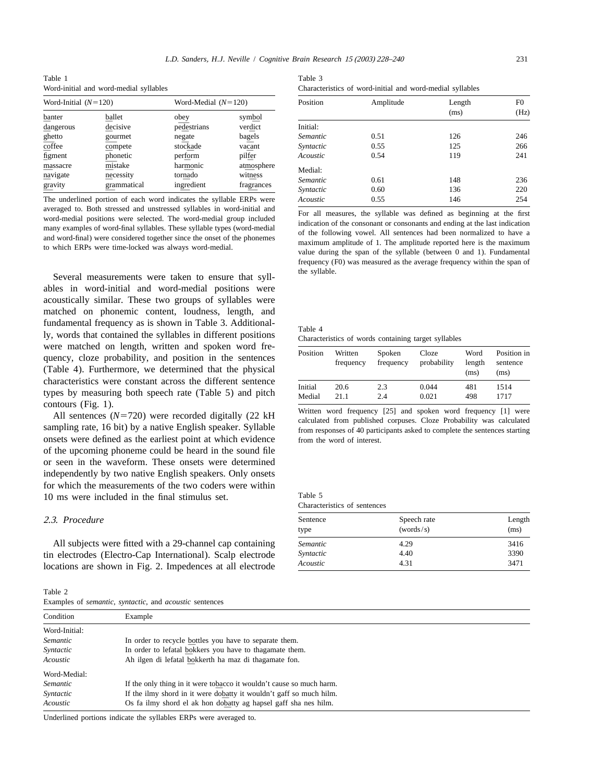Table 1 Table 3 Word-initial and word-medial syllables Characteristics of  $\mathcal{C}$ 

| Word-Initial $(N=120)$ |             |             | Word-Medial $(N=120)$ |           | Amplitude | Length | F <sub>0</sub> |
|------------------------|-------------|-------------|-----------------------|-----------|-----------|--------|----------------|
| banter                 | ballet      | obev        | symbol                |           |           | (ms)   | (Hz)           |
| dangerous              | decisive    | pedestrians | verdict               | Initial:  |           |        |                |
| ghetto                 | gourmet     | negate      | bagels                | Semantic  | 0.51      | 126    | 246            |
| coffee                 | compete     | stockade    | vacant                | Syntactic | 0.55      | 125    | 266            |
| figment                | phonetic    | perform     | pilfer                | Acoustic  | 0.54      | 119    | 241            |
| massacre               | mistake     | harmonic    | atmosphere            | Medial:   |           |        |                |
| navigate               | necessity   | tornado     | witness               | Semantic  | 0.61      | 148    | 236            |
| gravity                | grammatical | ingredient  | fragrances            | Syntactic | 0.60      | 136    | 220            |

The underlined portion of each word indicates the syllable ERPs were averaged to. Both stressed and unstressed syllables in word-initial and<br>word-medial positions were selected. The word-medial group included<br>many examples of word-final syllables. These syllable types (word-medial<br>and word-

Several measurements were taken to ensure that syll-<br>the syllable. ables in word-initial and word-medial positions were acoustically similar. These two groups of syllables were matched on phonemic content, loudness, length, and fundamental frequency as is shown in Table 3. Additional-<br>
ly, words that contained the syllables in different positions<br>
Characteristics of words containing target syllables<br>
Characteristics of words containing target syl quency, cloze probability, and position in the sentences<br>(Table 4). Furthermore, we determined that the physical<br>characteristics were constant across the different sentence types by measuring both speech rate (Table 5) and pitch contours (Fig. 1).

onsets were defined as the earliest point at which evidence from the word of interest. of the upcoming phoneme could be heard in the sound file or seen in the waveform. These onsets were determined independently by two native English speakers. Only onsets for which the measurements of the two coders were within 10 ms were included in the final stimulus set. Table 5

# 2.3. Procedure

All subjects were fitted with a 29-channel cap containing tin electrodes (Electro-Cap International). Scalp electrode locations are shown in Fig. 2. Impedences at all electrode

|--|--|

| Examples of <i>semantic</i> , <i>syntactic</i> , and <i>acoustic</i> sentences |  |  |  |  |  |  |
|--------------------------------------------------------------------------------|--|--|--|--|--|--|
|--------------------------------------------------------------------------------|--|--|--|--|--|--|

| Table 3                                                   |  |  |  |
|-----------------------------------------------------------|--|--|--|
| Characteristics of word-initial and word-medial syllables |  |  |  |

| Word-Initial $(N=120)$ |                                                                                                                                                    |             | Word-Medial $(N=120)$ |           | Amplitude | Length | F <sub>0</sub> |
|------------------------|----------------------------------------------------------------------------------------------------------------------------------------------------|-------------|-----------------------|-----------|-----------|--------|----------------|
| banter                 | ballet                                                                                                                                             | obey        | symbol                |           |           | (ms)   | (Hz)           |
| dangerous              | decisive                                                                                                                                           | pedestrians | verdict               | Initial:  |           |        |                |
| ghetto                 | gourmet                                                                                                                                            | negate      | bagels                | Semantic  | 0.51      | 126    | 246            |
| coffee                 | compete                                                                                                                                            | stockade    | vacant                | Syntactic | 0.55      | 125    | 266            |
| figment                | phonetic                                                                                                                                           | perform     | pilfer                | Acoustic  | 0.54      | 119    | 241            |
| massacre               | mistake                                                                                                                                            | harmonic    | atmosphere            | Medial:   |           |        |                |
| navigate               | necessity                                                                                                                                          | tornado     | witness               | Semantic  | 0.61      | 148    | 236            |
| gravity                | grammatical                                                                                                                                        | ingredient  | fragrances            | Syntactic | 0.60      | 136    | 220            |
|                        | The underlined portion of each word indicates the syllable ERPs were<br>$\mathbf{r}$ . The state $\mathbf{r}$ is a state of the state $\mathbf{r}$ |             |                       | Acoustic  | 0.55      | 146    | 254            |

frequency (F0) was measured as the average frequency within the span of

| Table 4 |  |  |  |
|---------|--|--|--|
|         |  |  |  |

| Position | Written<br>frequency | Spoken<br>frequency | Cloze<br>probability | Word<br>length<br>(ms) | Position in<br>sentence<br>(ms) |
|----------|----------------------|---------------------|----------------------|------------------------|---------------------------------|
| Initial  | 20.6                 | 2.3                 | 0.044                | 481                    | 1514                            |
| Medial   | 21.1                 | 2.4                 | 0.021                | 498                    | 1717                            |

All sentences  $(N=720)$  were recorded digitally  $(22 \text{ kHz})$ <br>
sampling rate, 16 bit) by a native English speaker. Syllable<br>
sampling rate, 16 bit) by a native English speaker. Syllable<br>
from responses of 40 participants aske

Characteristics of sentences

| Sentence<br>type | Speech rate<br>(words/s) | Length<br>(ms) |  |
|------------------|--------------------------|----------------|--|
| Semantic         | 4.29                     | 3416           |  |
| Syntactic        | 4.40                     | 3390           |  |
| Acoustic         | 4.31                     | 3471           |  |

| Condition     | Example                                                              |
|---------------|----------------------------------------------------------------------|
| Word-Initial: |                                                                      |
| Semantic      | In order to recycle bottles you have to separate them.               |
| Syntactic     | In order to lefatal bokkers you have to thagamate them.              |
| Acoustic      | Ah ilgen di lefatal bokkerth ha maz di thagamate fon.                |
| Word-Medial:  |                                                                      |
| Semantic      | If the only thing in it were tobacco it wouldn't cause so much harm. |
| Syntactic     | If the ilmy shord in it were dobatty it wouldn't gaff so much hilm.  |
| Acoustic      | Os fa ilmy shord el ak hon dobatty ag hapsel gaff sha nes hilm.      |
|               |                                                                      |

Underlined portions indicate the syllables ERPs were averaged to.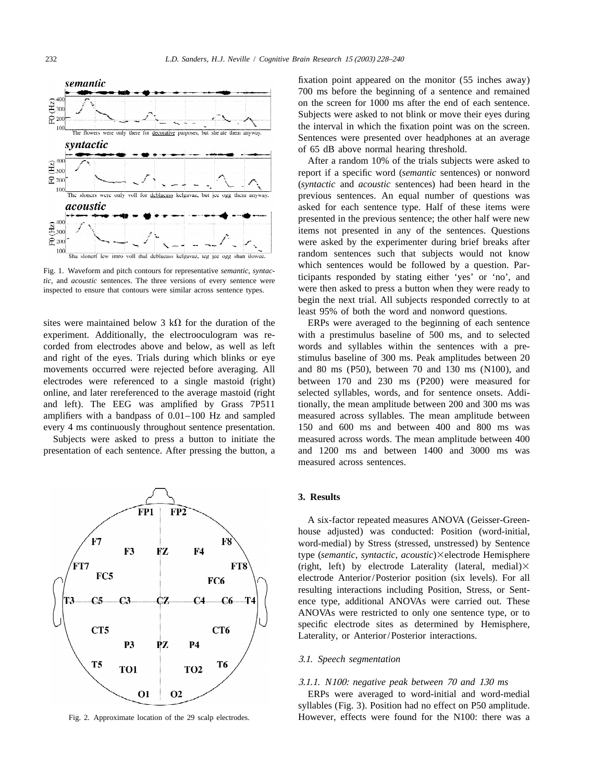

experiment. Additionally, the electrooculogram was re- with a prestimulus baseline of 500 ms, and to selected corded from electrodes above and below, as well as left words and syllables within the sentences with a preand right of the eyes. Trials during which blinks or eye stimulus baseline of 300 ms. Peak amplitudes between 20 movements occurred were rejected before averaging. All and 80 ms (P50), between 70 and 130 ms (N100), and electrodes were referenced to a single mastoid (right) between 170 and 230 ms (P200) were measured for online, and later rereferenced to the average mastoid (right selected syllables, words, and for sentence onsets. Addiand left). The EEG was amplified by Grass 7P511 tionally, the mean amplitude between 200 and 300 ms was amplifiers with a bandpass of 0.01–100 Hz and sampled measured across syllables. The mean amplitude between

presentation of each sentence. After pressing the button, a and 1200 ms and between 1400 and 3000 ms was



fixation point appeared on the monitor (55 inches away) 700 ms before the beginning of a sentence and remained on the screen for 1000 ms after the end of each sentence. Subjects were asked to not blink or move their eyes during the interval in which the fixation point was on the screen. Sentences were presented over headphones at an average of 65 dB above normal hearing threshold.

After a random 10% of the trials subjects were asked to report if a specific word (*semantic* sentences) or nonword (*syntactic* and *acoustic* sentences) had been heard in the previous sentences. An equal number of questions was asked for each sentence type. Half of these items were presented in the previous sentence; the other half were new items not presented in any of the sentences. Questions were asked by the experimenter during brief breaks after random sentences such that subjects would not know Fig. 1. Waveform and pitch contours for representative *semantic*, *syntac*-<br>tic, and *acoustic* sentences. The three versions of every sentence were ticipants responded by stating either 'yes' or 'no', and inspected to ensure that contours were similar across sentence types. were then asked to press a button when they were ready to begin the next trial. All subjects responded correctly to at least 95% of both the word and nonword questions.

sites were maintained below 3 k $\Omega$  for the duration of the ERPs were averaged to the beginning of each sentence every 4 ms continuously throughout sentence presentation. 150 and 600 ms and between 400 and 800 ms was Subjects were asked to press a button to initiate the measured across words. The mean amplitude between 400 measured across sentences.

## **3. Results**

A six-factor repeated measures ANOVA (Geisser-Greenhouse adjusted) was conducted: Position (word-initial, word-medial) by Stress (stressed, unstressed) by Sentence type (*semantic*, *syntactic*, *acoustic*) $\times$ electrode Hemisphere (right, left) by electrode Laterality (lateral, medial) $\times$ electrode Anterior/Posterior position (six levels). For all resulting interactions including Position, Stress, or Sentence type, additional ANOVAs were carried out. These ANOVAs were restricted to only one sentence type, or to specific electrode sites as determined by Hemisphere, Laterality, or Anterior/Posterior interactions.

# 3 .1. *Speech segmentation*

### 3 .1.1. *N*100: *negative peak between* <sup>70</sup> *and* <sup>130</sup> *ms*

ERPs were averaged to word-initial and word-medial syllables (Fig. 3). Position had no effect on P50 amplitude. Fig. 2. Approximate location of the 29 scalp electrodes. However, effects were found for the N100: there was a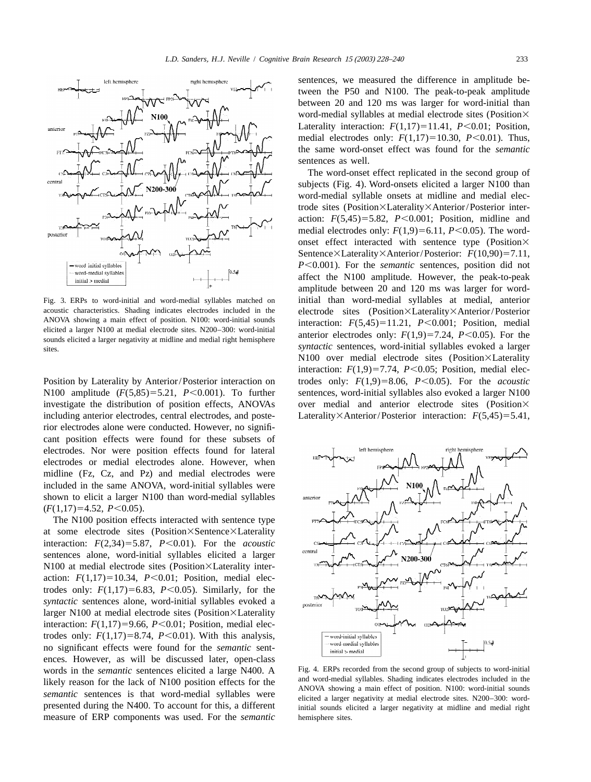

Fig. 3. ERPs to word-initial and word-medial syllables matched on initial than word-medial syllables at medial, anterior acoustic characteristics. Shading indicates electrodes included in the electrode sites (Position $\times$ Laterality $\times$ Anterior/Posterior<br>ANOVA showing a main effect of position. N100: word-initial sounds interaction:  $F(5.45)$ ANOVA showing a main effect of position. N100: word-initial sounds<br>elicited a larger N100 at medial electrode sites. N200–300: word-initial<br>sounds elicited a larger negativity at midline and medial right hemisphere<br>sites.

word-initial syllable word-medial syllable  $initial$   $>$  medial  $\,$ 

N100 amplitude  $(F(5,85)=5.21, P<0.001)$ . To further sentences, word-initial syllables also evoked a larger N100 investigate the distribution of position effects, ANOVAs over medial and anterior electrode sites (Position× including anterior electrodes, central electrodes, and poste-<br>Laterality $\times$ Anterior/Posterior interaction:  $F(5,45)=5.41$ , rior electrodes alone were conducted. However, no significant position effects were found for these subsets of electrodes. Nor were position effects found for lateral electrodes or medial electrodes alone. However, when midline (Fz, Cz, and Pz) and medial electrodes were included in the same ANOVA, word-initial syllables were shown to elicit a larger N100 than word-medial syllables  $(F(1,17)=4.52, P<0.05).$ 

The N100 position effects interacted with sentence type at some electrode sites (Position×Sentence×Laterality interaction:  $F(2,34)=5.87$ ,  $P<0.01$ ). For the *acoustic* sentences alone, word-initial syllables elicited a larger  $N100$  at medial electrode sites (Position $\times$ Laterality interaction:  $F(1,17)=10.34$ ,  $P<0.01$ ; Position, medial electrodes only:  $F(1,17)=6.83$ ,  $P<0.05$ ). Similarly, for the *syntactic* sentences alone, word-initial syllables evoked a larger N100 at medial electrode sites (Position $\times$ Laterality interaction:  $F(1,17)=9.66$ ,  $P<0.01$ ; Position, medial electrodes only:  $F(1,17)=8.74$ ,  $P<0.01$ ). With this analysis, no significant effects were found for the *semantic* sentences. However, as will be discussed later, open-class words in the *semantic* sentences elicited a large N400. A<br>*semantic* series for the second group of subjects to word-initial<br>and word-medial syllables. Shading indicates electrodes included in the measure of ERP components was used. For the *semantic* hemisphere sites.

sentences, we measured the difference in amplitude between the P50 and N100. The peak-to-peak amplitude between 20 and 120 ms was larger for word-initial than word-medial syllables at medial electrode sites (Position $\times$ Laterality interaction:  $F(1,17)=11.41$ ,  $P<0.01$ ; Position, medial electrodes only:  $F(1,17) = 10.30, P < 0.01$ ). Thus, the same word-onset effect was found for the *semantic* sentences as well.

The word-onset effect replicated in the second group of subjects (Fig. 4). Word-onsets elicited a larger N100 than word-medial syllable onsets at midline and medial electrode sites (Position×Laterality×Anterior/Posterior interaction:  $F(5,45)=5.82$ ,  $P<0.001$ ; Position, midline and medial electrodes only:  $F(1,9)=6.11$ ,  $P<0.05$ ). The wordonset effect interacted with sentence type (Position $\times$ Sentence×Laterality×Anterior/Posterior: *F*(10,90)=7.11, *P*<0.001). For the *semantic* sentences, position did not affect the N100 amplitude. However, the peak-to-peak amplitude between 20 and 120 ms was larger for word-N100 over medial electrode sites (Position×Laterality interaction:  $F(1,9)=7.74$ ,  $P<0.05$ ; Position, medial elec-Position by Laterality by Anterior/Posterior interaction on trodes only:  $F(1,9)=8.06$ ,  $P<0.05$ ). For the *acoustic* 



likely reason for the lack of N100 position effects for the<br>
semantic sentences is that word-medial syllables were<br>
presented during the N400. To account for this, a different<br>
presented during the N400. To account for thi initial sounds elicited a larger negativity at midline and medial right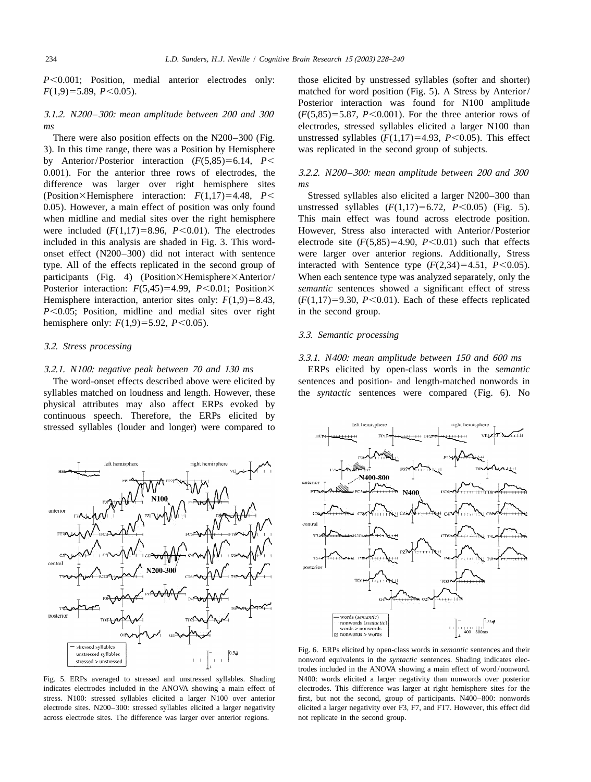*P*<0.001; Position, medial anterior electrodes only: those elicited by unstressed syllables (softer and shorter)

3). In this time range, there was a Position by Hemisphere was replicated in the second group of subjects. by Anterior/Posterior interaction  $(F(5,85)=6.14, P<$ 0.001). For the anterior three rows of electrodes, the 3 .2.2. *N*<sup>200</sup> –300: *mean amplitude between* <sup>200</sup> *and* <sup>300</sup> difference was larger over right hemisphere sites *ms* (Position $\times$ Hemisphere interaction:  $F(1,17)=4.48$ ,  $P<$  Stressed syllables also elicited a larger N200–300 than 0.05). However, a main effect of position was only found unstressed syllables  $(F(1,17)=6.72, P<0.05)$  (Fig. 5). when midline and medial sites over the right hemisphere This main effect was found across electrode position. were included  $(F(1,17)=8.96, P<0.01)$ . The electrodes However, Stress also interacted with Anterior/Posterior included in this analysis are shaded in Fig. 3. This word- electrode site  $(F(5,85)=4.90, P<0.01)$  such that effects onset effect (N200–300) did not interact with sentence were larger over anterior regions. Additionally, Stress type. All of the effects replicated in the second group of interacted with Sentence type  $(F(2,34)=4.51, P<0.05)$ . participants (Fig. 4) (Position×Hemisphere×Anterior/ When each sentence type was analyzed separately, only the Posterior interaction:  $F(5,45)=4.99$ ,  $P<0.01$ ; Position $\times$  *semantic* sentences showed a significant effect of stress Hemisphere interaction, anterior sites only:  $F(1,9)=8.43$ ,  $(F(1,17)=9.30, P<0.01)$ . Each of these effects replicated *P*<0.05; Position, midline and medial sites over right in the second group. hemisphere only:  $F(1,9)=5.92$ ,  $P<0.05$ ).

### 3 .2. *Stress processing*

syllables matched on loudness and length. However, these the *syntactic* sentences were compared (Fig. 6). No physical attributes may also affect ERPs evoked by continuous speech. Therefore, the ERPs elicited by stressed syllables (louder and longer) were compared to



across electrode sites. The difference was larger over anterior regions. not replicate in the second group.

*F*(1,9)=5.89, *P*<0.05). matched for word position (Fig. 5). A Stress by Anterior/ Posterior interaction was found for N100 amplitude 3 .1.2. *N*<sup>200</sup> –300: *mean amplitude between* <sup>200</sup> *and* <sup>300</sup> (*F*(5,85)55.87, *P*,0.001). For the three anterior rows of *ms* electrodes, stressed syllables elicited a larger N100 than There were also position effects on the N200–300 (Fig. unstressed syllables  $(F(1,17)=4.93, P<0.05)$ . This effect

# 3 .3. *Semantic processing*

### 3 .3.1. *N*400: *mean amplitude between* <sup>150</sup> *and* <sup>600</sup> *ms*

3 .2.1. *N*100: *negative peak between* <sup>70</sup> *and* <sup>130</sup> *ms* ERPs elicited by open-class words in the *semantic* The word-onset effects described above were elicited by sentences and position- and length-matched nonwords in



Fig. 6. ERPs elicited by open-class words in *semantic* sentences and their nonword equivalents in the *syntactic* sentences. Shading indicates electrodes included in the ANOVA showing a main effect of word/nonword. Fig. 5. ERPs averaged to stressed and unstressed syllables. Shading N400: words elicited a larger negativity than nonwords over posterior indicates electrodes included in the ANOVA showing a main effect of electrodes. This difference was larger at right hemisphere sites for the stress. N100: stressed syllables elicited a larger N100 over anterior first, but not the second, group of participants. N400–800: nonwords electrode sites. N200–300: stressed syllables elicited a larger negativity elicited a larger negativity over F3, F7, and FT7. However, this effect did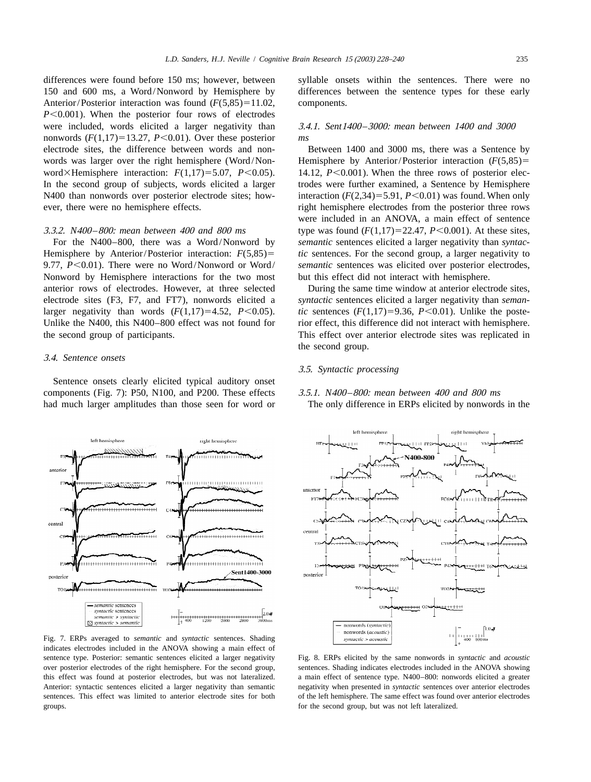Anterior/Posterior interaction was found  $(F(5,85)=11.02,$  components.  $P<0.001$ ). When the posterior four rows of electrodes were included, words elicited a larger negativity than 3 .4.1. *Sent*<sup>1400</sup> –3000: *mean between* <sup>1400</sup> *and* <sup>3000</sup> nonwords  $(F(1,17)=13.27, P<0.01)$ . Over these posterior *ms* electrode sites, the difference between words and non- Between 1400 and 3000 ms, there was a Sentence by words was larger over the right hemisphere (Word/Non- Hemisphere by Anterior/Posterior interaction  $(F(5,85))$ word $\times$ Hemisphere interaction:  $F(1,17) = 5.07$ ,  $P \le 0.05$ ). 14.12,  $P \le 0.001$ . When the three rows of posterior elec-In the second group of subjects, words elicited a larger trodes were further examined, a Sentence by Hemisphere N400 than nonwords over posterior electrode sites; how- interaction  $(F(2,34)=5.91, P<0.01)$  was found. When only

Hemisphere by Anterior/Posterior interaction:  $F(5,85) =$  *tic* sentences. For the second group, a larger negativity to 9.77, *P*<0.01). There were no Word/Nonword or Word/ *semantic* sentences was elicited over posterior electrodes, Nonword by Hemisphere interactions for the two most but this effect did not interact with hemisphere. anterior rows of electrodes. However, at three selected During the same time window at anterior electrode sites, electrode sites (F3, F7, and FT7), nonwords elicited a *syntactic* sentences elicited a larger negativity than *seman*larger negativity than words  $(F(1,17))=4.52$ ,  $P<0.05$ ). *tic* sentences  $(F(1,17))=9.36$ ,  $P<0.01$ ). Unlike the poste-Unlike the N400, this N400–800 effect was not found for rior effect, this difference did not interact with hemisphere. the second group of participants. This effect over anterior electrode sites was replicated in

# 3 .4. *Sentence onsets*

Sentence onsets clearly elicited typical auditory onset components (Fig. 7): P50, N100, and P200. These effects 3 .5.1. *N*<sup>400</sup> –800: *mean between* <sup>400</sup> *and* <sup>800</sup> *ms* had much larger amplitudes than those seen for word or The only difference in ERPs elicited by nonwords in the



ever, there were no hemisphere effects. right hemisphere electrodes from the posterior three rows were included in an ANOVA, a main effect of sentence 3.3.2. *N400–800: mean between 400 and 800 ms* type was found  $(F(1,17)=22.47, P<0.001)$ . At these sites, For the N400–800, there was a Word/Nonword by *semantic* sentences elicited a larger negativity than *syntac*-

the second group.

# 3 .5. *Syntactic processing*



Fig. 7. ERPs averaged to *semantic* and *syntactic* sentences. Shading indicates electrodes included in the ANOVA showing a main effect of groups. for the second group, but was not left lateralized.



sentence type. Posterior: semantic sentences elicited a larger negativity Fig. 8. ERPs elicited by the same nonwords in *syntactic* and *acoustic* over posterior electrodes of the right hemisphere. For the second group, sentences. Shading indicates electrodes included in the ANOVA showing this effect was found at posterior electrodes, but was not lateralized. a main effect of sentence type. N400–800: nonwords elicited a greater Anterior: syntactic sentences elicited a larger negativity than semantic negativity when presented in *syntactic* sentences over anterior electrodes sentences. This effect was limited to anterior electrode sites for both of the left hemisphere. The same effect was found over anterior electrodes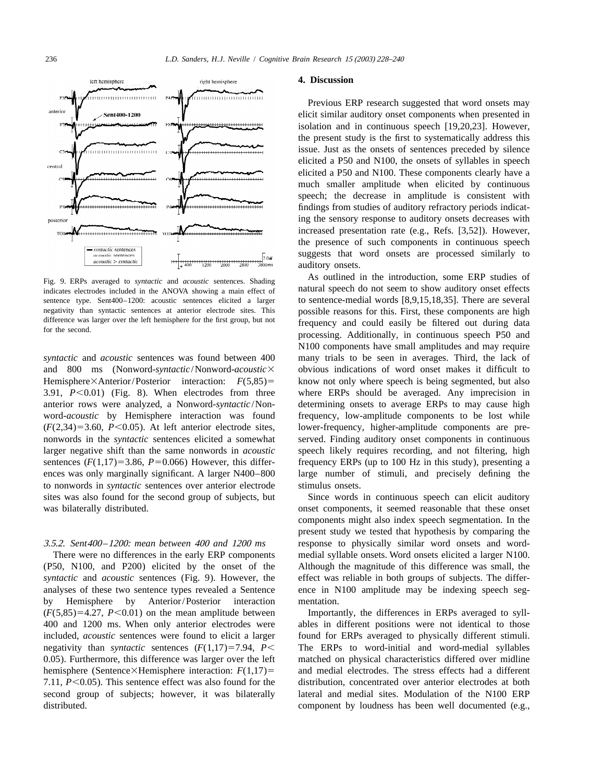

sentence type. Sent400–1200: acoustic sentences elicited a larger to sentence-medial words [8,9,15,18,35]. There are several negativity than syntactic sentences at anterior electrode sites. This possible reasons for this. First, these components are high difference was larger over the left hemisphere for the first group, but not frequency and co

to nonwords in *syntactic* sentences over anterior electrode stimulus onsets. sites was also found for the second group of subjects, but Since words in continuous speech can elicit auditory was bilaterally distributed. onset components, it seemed reasonable that these onset

(P50, N100, and P200) elicited by the onset of the Although the magnitude of this difference was small, the *syntactic* and *acoustic* sentences (Fig. 9). However, the effect was reliable in both groups of subjects. The differanalyses of these two sentence types revealed a Sentence ence in N100 amplitude may be indexing speech segby Hemisphere by Anterior/Posterior interaction mentation.  $(F(5,85)=4.27, P<0.01)$  on the mean amplitude between Importantly, the differences in ERPs averaged to syll-

### **4. Discussion**

Previous ERP research suggested that word onsets may elicit similar auditory onset components when presented in isolation and in continuous speech [19,20,23]. However, the present study is the first to systematically address this issue. Just as the onsets of sentences preceded by silence elicited a P50 and N100, the onsets of syllables in speech elicited a P50 and N100. These components clearly have a much smaller amplitude when elicited by continuous speech; the decrease in amplitude is consistent with findings from studies of auditory refractory periods indicating the sensory response to auditory onsets decreases with increased presentation rate (e.g., Refs. [3,52]). However, the presence of such components in continuous speech suggests that word onsets are processed similarly to auditory onsets.

Fig. 9. ERPs averaged to *syntactic* and *acoustic* sentences. Shading<br>indicates electrodes included in the ANOVA showing a main effect of natural speech do not seem to show auditory onset effects difference was larger over the left hemisphere for the first group, but not frequency and could easily be filtered out during data for the second. processing. Additionally, in continuous speech P50 and N100 components have small amplitudes and may require *syntactic* and *acoustic* sentences was found between 400 many trials to be seen in averages. Third, the lack of and 800 ms (Nonword-*syntactic* /Nonword-*acoustic*3 obvious indications of word onset makes it difficult to Hemisphere $\times$ Anterior/Posterior interaction:  $F(5,85) =$  know not only where speech is being segmented, but also 3.91, *P*,0.01) (Fig. 8). When electrodes from three where ERPs should be averaged. Any imprecision in anterior rows were analyzed, a Nonword-*syntactic* /Non- determining onsets to average ERPs to may cause high word-*acoustic* by Hemisphere interaction was found frequency, low-amplitude components to be lost while  $(F(2,34)=3.60, P<0.05)$ . At left anterior electrode sites, lower-frequency, higher-amplitude components are prenonwords in the *syntactic* sentences elicited a somewhat served. Finding auditory onset components in continuous larger negative shift than the same nonwords in *acoustic* speech likely requires recording, and not filtering, high sentences  $(F(1,17)=3.86, P=0.066)$  However, this differ- frequency ERPs (up to 100 Hz in this study), presenting a ences was only marginally significant. A larger N400–800 large number of stimuli, and precisely defining the

components might also index speech segmentation. In the present study we tested that hypothesis by comparing the 3 .5.2. *Sent*<sup>400</sup> –1200: *mean between* <sup>400</sup> *and* <sup>1200</sup> *ms* response to physically similar word onsets and word-There were no differences in the early ERP components medial syllable onsets. Word onsets elicited a larger N100.

400 and 1200 ms. When only anterior electrodes were ables in different positions were not identical to those included, *acoustic* sentences were found to elicit a larger found for ERPs averaged to physically different stimuli. negativity than *syntactic* sentences  $(F(1,17)=7.94, P<$  The ERPs to word-initial and word-medial syllables 0.05). Furthermore, this difference was larger over the left matched on physical characteristics differed over midline hemisphere (Sentence $\times$ Hemisphere interaction:  $F(1,17)$ = and medial electrodes. The stress effects had a different 7.11, *P*<0.05). This sentence effect was also found for the distribution, concentrated over anterior electrodes at both second group of subjects; however, it was bilaterally lateral and medial sites. Modulation of the N100 ERP distributed. Component by loudness has been well documented (e.g.,  $\epsilon$ )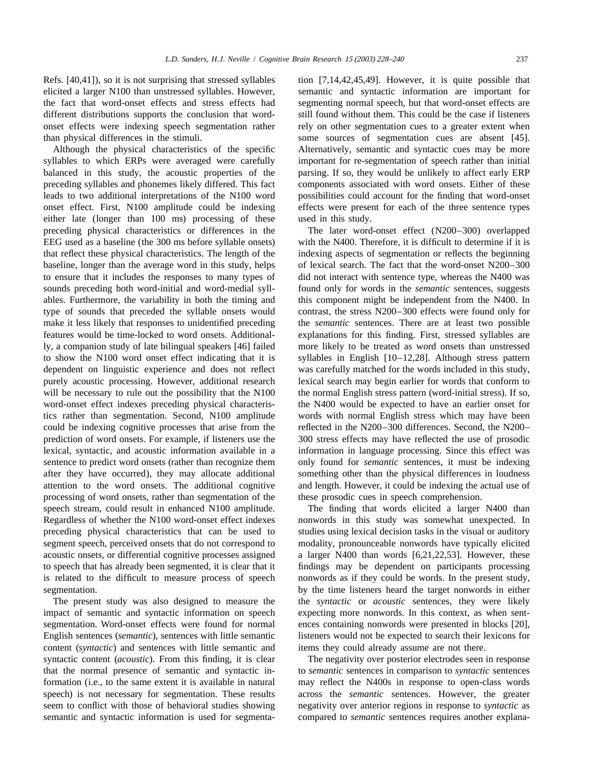Refs. [40,41]), so it is not surprising that stressed syllables tion [7,14,42,45,49]. However, it is quite possible that elicited a larger N100 than unstressed syllables. However, semantic and syntactic information are important for the fact that word-onset effects and stress effects had segmenting normal speech, but that word-onset effects are different distributions supports the conclusion that word- still found without them. This could be the case if listeners onset effects were indexing speech segmentation rather rely on other segmentation cues to a greater extent when than physical differences in the stimuli. some sources of segmentation cues are absent [45].

syllables to which ERPs were averaged were carefully important for re-segmentation of speech rather than initial balanced in this study, the acoustic properties of the parsing. If so, they would be unlikely to affect early ERP preceding syllables and phonemes likely differed. This fact components associated with word onsets. Either of these leads to two additional interpretations of the N100 word possibilities could account for the finding that word-onset onset effect. First, N100 amplitude could be indexing effects were present for each of the three sentence types either late (longer than 100 ms) processing of these used in this study. preceding physical characteristics or differences in the The later word-onset effect (N200–300) overlapped EEG used as a baseline (the 300 ms before syllable onsets) with the N400. Therefore, it is difficult to determine if it is that reflect these physical characteristics. The length of the indexing aspects of segmentation or reflects the beginning baseline, longer than the average word in this study, helps of lexical search. The fact that the word-onset N200–300 to ensure that it includes the responses to many types of did not interact with sentence type, whereas the N400 was sounds preceding both word-initial and word-medial syll- found only for words in the *semantic* sentences, suggests ables. Furthermore, the variability in both the timing and this component might be independent from the N400. In type of sounds that preceded the syllable onsets would contrast, the stress N200–300 effects were found only for make it less likely that responses to unidentified preceding the *semantic* sentences. There are at least two possible features would be time-locked to word onsets. Additional- explanations for this finding. First, stressed syllables are ly, a companion study of late bilingual speakers [46] failed more likely to be treated as word onsets than unstressed to show the N100 word onset effect indicating that it is syllables in English [10–12,28]. Although stress pattern dependent on linguistic experience and does not reflect was carefully matched for the words included in this study, purely acoustic processing. However, additional research lexical search may begin earlier for words that conform to will be necessary to rule out the possibility that the N100 the normal English stress pattern (word-initial stress). If so, word-onset effect indexes preceding physical characteris- the N400 would be expected to have an earlier onset for tics rather than segmentation. Second, N100 amplitude words with normal English stress which may have been could be indexing cognitive processes that arise from the reflected in the N200–300 differences. Second, the N200– prediction of word onsets. For example, if listeners use the 300 stress effects may have reflected the use of prosodic lexical, syntactic, and acoustic information available in a information in language processing. Since this effect was sentence to predict word onsets (rather than recognize them only found for *semantic* sentences, it must be indexing after they have occurred), they may allocate additional something other than the physical differences in loudness attention to the word onsets. The additional cognitive and length. However, it could be indexing the actual use of processing of word onsets, rather than segmentation of the these prosodic cues in speech comprehension. speech stream, could result in enhanced N100 amplitude. The finding that words elicited a larger N400 than Regardless of whether the N100 word-onset effect indexes nonwords in this study was somewhat unexpected. In preceding physical characteristics that can be used to studies using lexical decision tasks in the visual or auditory segment speech, perceived onsets that do not correspond to modality, pronounceable nonwords have typically elicited acoustic onsets, or differential cognitive processes assigned a larger N400 than words [6,21,22,53]. However, these to speech that has already been segmented, it is clear that it findings may be dependent on participants processing is related to the difficult to measure process of speech nonwords as if they could be words. In the present study, segmentation. by the time listeners heard the target nonwords in either

impact of semantic and syntactic information on speech expecting more nonwords. In this context, as when sentsegmentation. Word-onset effects were found for normal ences containing nonwords were presented in blocks [20], English sentences (*semantic*), sentences with little semantic listeners would not be expected to search their lexicons for content (*syntactic*) and sentences with little semantic and items they could already assume are not there. syntactic content (*acoustic*). From this finding, it is clear The negativity over posterior electrodes seen in response that the normal presence of semantic and syntactic in- to *semantic* sentences in comparison to *syntactic* sentences formation (i.e., to the same extent it is available in natural may reflect the N400s in response to open-class words speech) is not necessary for segmentation. These results across the *semantic* sentences. However, the greater seem to conflict with those of behavioral studies showing negativity over anterior regions in response to *syntactic* as semantic and syntactic information is used for segmenta- compared to *semantic* sentences requires another explana-

Although the physical characteristics of the specific Alternatively, semantic and syntactic cues may be more

The present study was also designed to measure the the *syntactic* or *acoustic* sentences, they were likely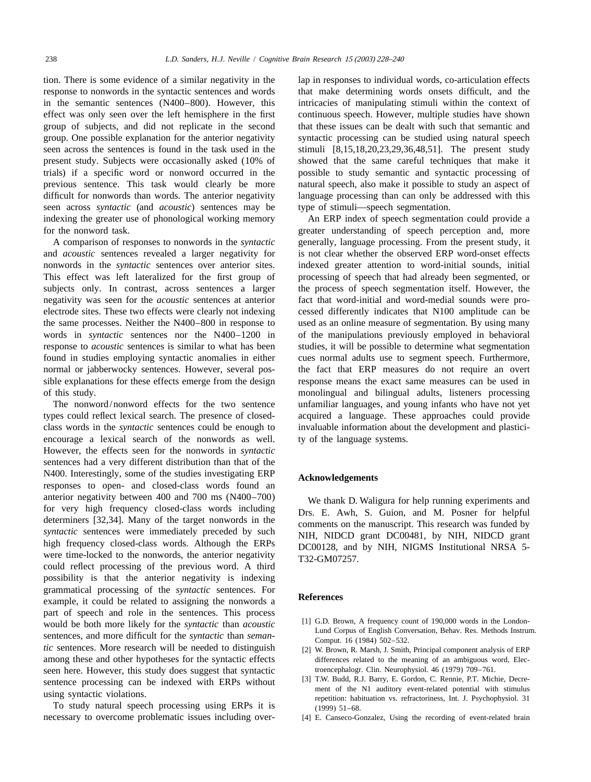response to nonwords in the syntactic sentences and words that make determining words onsets difficult, and the in the semantic sentences (N400–800). However, this intricacies of manipulating stimuli within the context of effect was only seen over the left hemisphere in the first continuous speech. However, multiple studies have shown group of subjects, and did not replicate in the second that these issues can be dealt with such that semantic and group. One possible explanation for the anterior negativity syntactic processing can be studied using natural speech seen across the sentences is found in the task used in the stimuli [8,15,18,20,23,29,36,48,51]. The present study present study. Subjects were occasionally asked (10% of showed that the same careful techniques that make it trials) if a specific word or nonword occurred in the possible to study semantic and syntactic processing of previous sentence. This task would clearly be more natural speech, also make it possible to study an aspect of difficult for nonwords than words. The anterior negativity language processing than can only be addressed with this seen across *syntactic* (and *acoustic*) sentences may be type of stimuli—speech segmentation. indexing the greater use of phonological working memory An ERP index of speech segmentation could provide a for the nonword task. greater understanding of speech perception and, more

and *acoustic* sentences revealed a larger negativity for is not clear whether the observed ERP word-onset effects nonwords in the *syntactic* sentences over anterior sites. indexed greater attention to word-initial sounds, initial This effect was left lateralized for the first group of processing of speech that had already been segmented, or subjects only. In contrast, across sentences a larger the process of speech segmentation itself. However, the negativity was seen for the *acoustic* sentences at anterior fact that word-initial and word-medial sounds were proelectrode sites. These two effects were clearly not indexing cessed differently indicates that N100 amplitude can be the same processes. Neither the N400–800 in response to used as an online measure of segmentation. By using many words in *syntactic* sentences nor the N400–1200 in of the manipulations previously employed in behavioral response to *acoustic* sentences is similar to what has been studies, it will be possible to determine what segmentation found in studies employing syntactic anomalies in either cues normal adults use to segment speech. Furthermore, normal or jabberwocky sentences. However, several pos- the fact that ERP measures do not require an overt sible explanations for these effects emerge from the design response means the exact same measures can be used in of this study. monolingual and bilingual adults, listeners processing

types could reflect lexical search. The presence of closed- acquired a language. These approaches could provide class words in the *syntactic* sentences could be enough to invaluable information about the development and plasticiencourage a lexical search of the nonwords as well. ty of the language systems. However, the effects seen for the nonwords in *syntactic* sentences had a very different distribution than that of the N400. Interestingly, some of the studies investigating ERP **Acknowledgements** responses to open- and closed-class words found an anterior negativity between 400 and 700 ms (N400–700)<br>for very high frequency closed-class words including<br>determiners [32,34]. Many of the target nonwords in the<br>syntactic sentences were immediately preceded by such<br>high could reflect processing of the previous word. A third possibility is that the anterior negativity is indexing grammatical processing of the *syntactic* sentences. For **References** example, it could be related to assigning the nonwords a part of speech and role in the sentences. This process [1] G.D. Brown, A frequency count of 190,000 words in the London- would be both more likely for the *syntactic* than *acoustic* Sentences, and more difficult for the *syntactic* than *seman*-<br>
Comput. 16 (1984) 502–532.<br>
Computer of *Narsh I*, Smith among these and other hypotheses for the syntactic effects differences related to the meaning of an ambiguous word, Elecseen here. However, this study does suggest that syntactic troencephalogr. Clin. Neurophysiol. 46 (1979) 709–761.<br>
[3] T.W. Budd, R.J. Barry, E. Gordon, C. Rennie, P.T. Michie, Decre-

necessary to overcome problematic issues including over-<br>
[4] E. Canseco-Gonzalez, Using the recording of event-related brain

tion. There is some evidence of a similar negativity in the lap in responses to individual words, co-articulation effects

A comparison of responses to nonwords in the *syntactic* generally, language processing. From the present study, it The nonword/nonword effects for the two sentence unfamiliar languages, and young infants who have not yet

- 
- [2] W. Brown, R. Marsh, J. Smith, Principal component analysis of ERP
- sentence processing can be indexed with ERPs without [3] T.W. Budd, R.J. Barry, E. Gordon, C. Rennie, P.T. Michie, Decre-<br>using syntactic violations.<br>To study natural speech processing using ERPs it is (1999) 51–68.
	-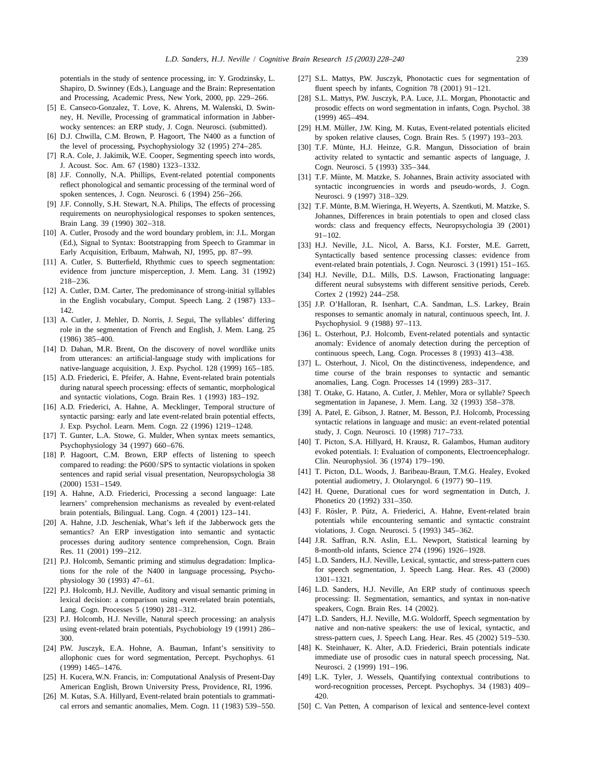Shapiro, D. Swinney (Eds.), Language and the Brain: Representation fluent speech by infants, Cognition 78 (2001) 91–121.

- ney, H. Neville, Processing of grammatical information in Jabber- (1999) 465–494. wocky sentences: an ERP study, J. Cogn. Neurosci. (submitted). [29] H.M. Müller, J.W. King, M. Kutas, Event-related potentials elicited
- the level of processing, Psychophysiology 32 (1995) 274–285. [30] T.F. Münte, H.J. Heinze, G.R. Mangun, Dissociation of brain
- J. Acoust. Soc. Am. 67 (1980) 1323–1332. Cogn. Neurosci. 5 (1993) 335–344.<br>[8] J.F. Connolly, N.A. Phillips, Event-related potential components [311 T F Münte M Matzke S Johannes
- J.F. Connolly, N.A. Phillips, Event-related potential components [31] T.F. Münte, M. Matzke, S. Johannes, Brain activity associated with reflect phonological and semantic processing of the terminal word of syntactic incong spoken sentences, J. Cogn. Neurosci. 6 (1994) 256–266. Neurosci. 9 (1997) 318–329.<br>[9] J.F. Connolly, S.H. Stewart, N.A. Philips, The effects of processing [32] T.F. Minte, B.M. Wieringa, H
- J.F. Connolly, S.H. Stewart, N.A. Philips, The effects of processing<br>requirements on neurophysiological responses to spoken sentences,<br>Brain Lang. 39 (1990) 302–318.<br>Brain Lang. 39 (1990) 302–318.
- [10] A. Cutler, Prosody and the word boundary problem, in: J.L. Morgan 91–102.<br>(Ed.), Signal to Syntax: Bootstrapping from Speech to Grammar in  $\frac{91-102}{1331 H L}$ (Ed.), Signal to Syntax: Bootstrapping from Speech to Grammar in [33] H.J. Neville, J.L. Nicol, A. Barss, K.I. Forster, M.E. Garrett,
- 
- 
- 
- 
- 
- 
- 
- Early Acquisition, Fithsum, Mahwah, NJ, 1995, 187-99.<br>
[11] A. Cuder, S. Butterfield, Rhydminic cust to speech segmentation:<br>
event-related brain potentials, J. Cogn, Neurosci, 3 (1991) 151–165.<br>
218–236.<br>
[12] A. Cuder,
- learners' comprehension mechanisms as revealed by event-related
- [20] A. Hahne, J.D. Jescheniak, What's left if the Jabberwock gets the potentials while encountering semantic and syntactic semantics? An ERP investigation into semantic and syntactic violations, J. Cogn. Neurosci. 5 (1993 violations, J. Cogn. Neurosci. 5 (1993) 345–362.<br>processes during auditory sentence comprehension Cogn. Brain [44] J.R. Saffran, R.N. Aslin, E.L. Newport, Statistical learning by processes during auditory sentence comprehension, Cogn. Brain Res. 11 (2001) 199–212. 8-month-old infants, Science 274 (1996) 1926–1928.
- tions for the role of the N400 in language processing, Psychophysiology 30 (1993) 47–61.<br>
P.J. Holcomb, H.J. Neville, Auditory and visual semantic priming in [46] L.D. Sanders, H.J. Neville, An ERP study of continuous speech
- [22] P.J. Holcomb, H.J. Neville, Auditory and visual semantic priming in Lang. Cogn. Processes 5 (1990) 281–312. speakers, Cogn. Brain Res. 14 (2002).
- using event-related brain potentials, Psychobiology 19 (1991) 286–
- (1999) 1465–1476. Neurosci. 2 (1999) 191–196.
- 
- [26] M. Kutas, S.A. Hillyard, Event-related brain potentials to grammati- 420.
- potentials in the study of sentence processing, in: Y. Grodzinsky, L. [27] S.L. Mattys, P.W. Jusczyk, Phonotactic cues for segmentation of
- and Processing, Academic Press, New York, 2000, pp. 229–266. [28] S.L. Mattys, P.W. Jusczyk, P.A. Luce, J.L. Morgan, Phonotactic and [5] E. Canseco-Gonzalez, T. Love, K. Ahrens, M. Walenski, D. Swin- prosodic effects on word segmentation in infants, Cogn. Psychol. 38
- [6] D.J. Chwilla, C.M. Brown, P. Hagoort, The N400 as a function of by spoken relative clauses, Cogn. Brain Res. 5 (1997) 193–203.
- [7] R.A. Cole, J. Jakimik, W.E. Cooper, Segmenting speech into words, activity related to syntactic and semantic aspects of language, J.
	- syntactic incongruencies in words and pseudo-words, J. Cogn.
	- words: class and frequency effects, Neuropsychologia 39 (2001)
	-
	-
	-
	-
	-
	-
	-
	-
	-
- [42] H. Quene, Durational cues for word segmentation in Dutch, J. [19] A. Hahne, A.D. Friederici, Processing a second language: Late
	- brain potentials, Bilingual. Lang. Cogn. 4 (2001) 123-141. [43] F. Rösler, P. Pütz, A. Friederici, A. Hahne, Event-related brain potentials, Bilingual. Lang. Cogn. 4 (2001) 123-141. [43] F. Rösler, P. Pütz, A. Friederici,
		-
- [21] P.J. Holcomb, Semantic priming and stimulus degradation: Implica- [45] L.D. Sanders, H.J. Neville, Lexical, syntactic, and stress-pattern cues
	- lexical decision: a comparison using event-related brain potentials, processing: II. Segmentation, semantics, and syntax in non-native
- [23] P.J. Holcomb, H.J. Neville, Natural speech processing: an analysis [47] L.D. Sanders, H.J. Neville, M.G. Woldorff, Speech segmentation by using event-related brain potentials. Psychobiology 19 (1991) 286– native and n 300. stress-pattern cues, J. Speech Lang. Hear. Res. 45 (2002) 519–530.
- [24] P.W. Jusczyk, E.A. Hohne, A. Bauman, Infant's sensitivity to [48] K. Steinhauer, K. Alter, A.D. Friederici, Brain potentials indicate allophonic cues for word segmentation, Percept. Psychophys. 61 immediate use of prosodic cues in natural speech processing, Nat.
- [25] H. Kucera, W.N. Francis, in: Computational Analysis of Present-Day [49] L.K. Tyler, J. Wessels, Quantifying contextual contributions to American English, Brown University Press, Providence, RI, 1996. word-recognition processes, Percept. Psychophys. 34 (1983) 409–
	- cal errors and semantic anomalies, Mem. Cogn. 11 (1983) 539–550. [50] C. Van Petten, A comparison of lexical and sentence-level context